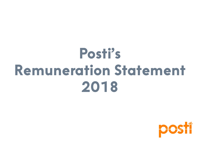# **Posti's Remuneration Statement 2018**

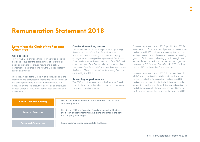# **Remuneration Statement 2018**

# **Letter from the Chair of the Personnel Committee**

#### **Our approach**

Posti Group Corporation ("Posti") remuneration policy is designed to support the achievement of our strategic goals and reward for proven results and excellent performance delivered in line with the Group's strategy, culture and values.

The policy supports the Group in attracting, keeping and motivating the best possible teams and talents to deliver the development and results of the Posti Group. The policy covers the top executives as well as all employees of Posti Group; all should feel part of Posti´s success and achievements.

#### **Our decision-making process**

The Personnel Committee is responsible for planning the remuneration of the Posti Group Executive Board members and setting the principles for pay arrangements covering all Posti personnel. The Board of Directors determines the remuneration of the CEO and other members of the Executive Board based on the proposals of the Personnel Committee. Remuneration of the Board of Directors and of the Supervisory Board is decided by the AGM.

#### **Rewarding for performance**

The CEO and other members of the Executive Board participate in a short-term bonus plan and a separate long-term incentive scheme.

Bonuses for performance in 2017 (paid in April 2018) were based on Group's financial performance (net sales and adjusted EBIT) and performance against individual strategic targets, supporting our strategy of maintaining good profitability and delivering growth through new services. Based on performance against the targets set, bonuses for 2017 ranged 15.65% to 40.20% of salary for the CEO and Executive Board members.

Bonuses for performance in 2018 (to be paid in April 2019) were based on Group's financial performance (net sales, adjusted free cash flow and adjusted EBIT) and performance against individual strategic targets, supporting our strategy of maintaining good profitability and delivering growth through new services. Based on performance against the targets set, bonuses for 2018

| <b>Annual General Meeting</b> | Decides on the remuneration for the Board of Directors and<br>Supervisory Board.                                                                           |
|-------------------------------|------------------------------------------------------------------------------------------------------------------------------------------------------------|
| <b>Board of Directors</b>     | Decides on CEO and Executive Board remuneration Decides on<br>short-term and long-term incentive plans and criteria and sets<br>the company level targets. |
| <b>Personnel Committee</b>    | Prepares remuneration proposals to the Board.                                                                                                              |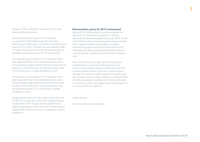ranged 9.15% to 43.76% of salary for the CEO and Executive Board members.

The long-term incentive plan, LTI 9, was based on profitability (ROCE %) and growth (net sales) performance in each year of the three-year performance period, 2015 to 2017. Overall, the plan vested at 43% of maximum amount for the CEO and Executive Board members, to be paid over 2018, 2019 and 2020.

The long-term incentive plan LTI10 is based on threeyear adjusted EPS set and measured annually and a Group strategic target related to Parcel business unit net sales set for full plan period. Any reward earned under LTI10 will be paid in a single installment in 2021.

The long-term incentive plan LTI11 is based on threeyear adjusted EPS set and measured annually, and a Group strategic target related to Parcel & eCommerce business unit net sales set for the full plan period. Any reward earned under LTI10 will be paid in a single installment in 2022.

Bridge incentive plan 2X is an incentive plan from July 1st, 2018 until June 30th, 2019 with a possible payout in December 2019. The plan has two performance targets measured on 2H2018 & 1H2019: Posti Group's adjusted EBIT and Posti Group's consolidated customer satisfaction.

#### **Remuneration policy for 2019 and beyond**

During 2018, the Personnel Committee reviewed the approach for reward and recognition of all Posti personnel and the Board approved for year 2018 as well as for 2019 to replace the existing profit sharing scheme with a targeted reward and recognition program, emphasizing a spot bonus and a timely rewarding of employees who demonstrate excellent performance in customer service, operational performance or safety at work.

Posti continues to go through a period of significant transformation as we position the business for the future. As the company adapts, we need to ensure that our remuneration policies continue to support chosen strategic focus areas as well as evolve and adapt to suit the changing business needs. However, our key principles of timely rewarding for excellent performance delivered in line with our culture and values remain unchanged and lie at the core of our approach.

#### Markku Pohjola

Chair of the Personnel Committee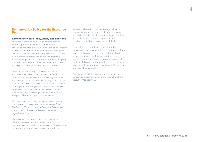# **Remuneration Policy for the Executive Board**

#### **Remuneration philosophy, policy and approach**

The success of Posti Group is highly dependent on capable, performance oriented and motivated executives and employees. Our remuneration philosophy aims to ensure that the remuneration policy is aligned with and supports the strategic agenda of the company and its target corporate culture. The remuneration philosophy supports the company in attracting, keeping and motivating the best possible individuals to deliver the targeted development and results of the Group.

The remuneration policy establishes the idea of this philosophy into the principles and practices of remuneration. Remuneration is not the only means to this end and is part of a series of management practices such as performance appraisals, job rotation, successor planning and furthering of individual development of employees. The remuneration policy covers the top executives as well as all employees of Posti. All should feel part of Posti´s success and achievements.

Posti's remuneration policy and general compensation and benefits practices direct remuneration at Posti. The Board of Directors and the Personnel Committee are involved in the preparation and decision making regarding remuneration.

The purpose of our reward programs is to create a clear link between business performance, individual performance and individual remuneration. The programs recognize and reward high performance which is

delivered in line with company strategy, culture and values. The reward programs contribute to business success by ensuring that the remuneration of employees and senior leaders is market competitive, making it possible to attract and retain the best talent.

A consistent, reasonable and understandable remuneration policy contributes to a positive employer brand creation and is valued by employees. Posti endorses transparency, fairness and diversity in all reward programs and in order to support successful implementation of company strategy, it is essential to maintain balance between market competitiveness and total cost of remuneration.

Posti complies with the state-ownership guidelines concerning the remuneration and pension benefits of executive management.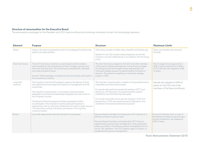## **Structure of remuneration for the Executive Board**

The remuneration packages for the President and CEO, Executive Board and other key individuals contain the following key elements:

| <b>Element</b>         | <b>Purpose</b>                                                                                                                                                                                                                                                                                                                                                                                                                                                                                                                                                                                                             | <b>Structure</b>                                                                                                                                                                                                                                                                                                                                                                                                                                         | <b>Maximum Limits</b>                                                                                                                       |
|------------------------|----------------------------------------------------------------------------------------------------------------------------------------------------------------------------------------------------------------------------------------------------------------------------------------------------------------------------------------------------------------------------------------------------------------------------------------------------------------------------------------------------------------------------------------------------------------------------------------------------------------------------|----------------------------------------------------------------------------------------------------------------------------------------------------------------------------------------------------------------------------------------------------------------------------------------------------------------------------------------------------------------------------------------------------------------------------------------------------------|---------------------------------------------------------------------------------------------------------------------------------------------|
| Salary                 | Salary is the fixed compensation paid to an employee for performing<br>specific job responsibilities.                                                                                                                                                                                                                                                                                                                                                                                                                                                                                                                      | Total salary includes monthly salary, benefits and holiday pay.<br>Benefits for the CEO include medical expense, risk and life<br>insurance, car and mobile phone in accordance with the Group<br>policy.                                                                                                                                                                                                                                                | Salary and benefits are reviewed<br>annually.                                                                                               |
| Short-term bonus       | The short-term bonus scheme is a cash-based incentive scheme<br>which rewards for the achievement of Posti's strategic priorities and<br>short-term business plan. The annual bonus rewards both individual<br>and collective performance.<br>Around 1,800 employees, including the Executive Board, participate in<br>the annual bonus scheme.                                                                                                                                                                                                                                                                            | The short-term bonus targets for the CEO and other members<br>of the Executive Board are based on Group financial targets<br>(including business level targets where appropriate) and<br>individual strategic projects as determined by the Board of<br>Directors. The maximum weighting on individual strategic<br>projects is 20%.                                                                                                                     | The on-target bonus opportunity is<br>30% of salary (reduced from 40% in<br>2016). Bonuses are capped at 60%<br>of salary.                  |
| Long-term<br>incentive | The long-term incentive (LTI) program supports the delivery of long-<br>term performance and aligns the interests of management with the<br>shareholder.<br>The long-term incentive plan is a monetary incentive scheme<br>designed to motivate and reward key employees who are critical to<br>the company's success.<br>The Board of Directors approves the key employees entitled<br>to participate in the long-term incentive plan (participation is<br>discretionary with no automatic entitlement from year to year). Around<br>120 executives and key individuals participate in the long-term<br>incentive scheme. | The long-term incentive plans is based on Group performance,<br>measured over three financial years.<br>For awards with performance periods ending in 2017 and<br>before (i.e. LTI9 and prior), any reward earned is paid in<br>installments over the following three years.<br>For awards with performance periods starting in 2018 and<br>beyond (e.g. LTI10), any reward earned will be paid in one<br>installment at the end of performance period*. | Awards are capped at 60% of<br>salary for the CEO and other<br>members of the Executive Board.                                              |
| Pension                | To provide appropriate retirement benefits for employees.                                                                                                                                                                                                                                                                                                                                                                                                                                                                                                                                                                  | Executive Board members nominated prior 2012 belong to a<br>defined contribution pension plan.<br>Executive Board members nominated after 2012 have no<br>supplementary pension plan arrangements. They participate<br>solely and totally in the statutory pension arrangements as set<br>out by TyEL legislation. The CEO's pension age is 63 years, no<br>supplementary pension arrangements.                                                          | In line with statutory limits. In case of<br>the defined contribution pension plan,<br>annual contributions are capped at<br>20% of salary. |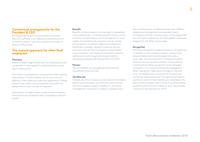# **Contractual arrangements for the President & CEO**

The mutual termination notice period is six months. The CEO is entitled to an additional severance pay of six months' salary in case the company terminates his service without cause.

# **The reward approach for other Posti employees**

#### **Fixed pay**

Salary includes fringe benefits such as mobile phone and car benefits in roles eligible for defined benefits as per the company policy.

Posti follows local legislation and practices when defining salary levels. In Finland salaries are for the most part defined in their respective collective agreements. Outside Finland, Posti follows the pay practices and collective agreements of each country of operation.

Participation in market salary surveys ensures company salary levels are completive when compared to relevant market.

#### **Benefits**

Benefits include programs that are used to supplement cash compensation. Company benefits vary by country to ensure competitiveness and local alignment in each market. In Finland benefit programs include mobile phone benefit, car benefit, extensive occupational healthcare coverage, subsidy for exercise services and lunch costs as well as company owned holiday accommodation. Posti Työhyvinvointisäätiö supports wellbeing at work through pilot projects and by arranging employee well-being events in Finland.

#### **Pension**

Pension benefits are arranged per local national requirements and practices.

#### **Variable pay**

Variable pay links company success and an individual's performance providing an incentive to work towards commonly agreed targets. In addition to the senior management scheme set out above, company shortterm incentive plans include employees from different operational management and specialist roles in accordance with the company policy. At the target level, the short-term variable pay for other eligible employees ranges from 3.5–30% of base salary.

#### **Recognition**

Posti has a recognition model available to all personnel. In addition to non-monetary awards, a formal cashbased achievement award program provides a quick, easy and practical tool to recognize excellent customer service, exceptional effort or improvement in performance. Receiving specific and meaningful recognition is an important employee engagement driver. Recognition takes place throughout the year on an as-needed basis. During 2018 the personnel committee emphasized even stronger the principle of spot bonus and a timely rewarding for employees who demonstrate excellent performance in customer service, operation performance or safety at work. This principle continues to be valid also for 2019.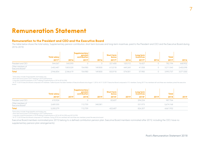# **Remuneration Statement**

# **Remuneration to the President and CEO and the Executive Board**

The table below shows the total salary, Supplementary pension contribution, short term bonuses and long-term incentives. paid to the President and CEO and the Executive Board during 2016-2018.

|                                                  | <b>Total salary</b> |           | <b>Supplementary</b><br>pension<br><b>contribution</b> |         | Short-term<br>bonus |         | Long-term<br><i>incentives</i> |      | <b>Total</b> |           |
|--------------------------------------------------|---------------------|-----------|--------------------------------------------------------|---------|---------------------|---------|--------------------------------|------|--------------|-----------|
|                                                  | 2017 <sup>1</sup>   | 2016      | 2017                                                   | 2016    | 2017 <sup>2</sup>   | 2016    | 2017 <sup>3</sup>              | 2016 | 2017         | 2016      |
| President and CEO                                | 544.367             | 543.590   |                                                        |         | 221.400             | 125,312 | 16.427                         |      | 782.194      | 668,902   |
| Other members of<br>Executive Board <sup>4</sup> | 2,402,487           | 1,803,029 | 154.980                                                | 149.800 | 612.518             | 449.269 | 41,558                         |      | 3,211,543    | 2,402,098 |
| Total                                            | 2,946,854           | 2.346.619 | 154.980                                                | 149.800 | 833.918             | 574.581 | 57.985                         |      | 3.993.737    | 3,071,000 |

1 Total salary includes fringe benefits and holiday pay.

2 Short-term bonus paid in 2017 relating to 2016 performance

3 Long-term incentive payments in 2017 relating to performance in 2014–2016 (LTI8)

4 At 31.12.2016 Executive Board composed of 8 members. Turkka Kuusisto has been member of Executive Board since August 1, 2016. At 31.12.2017 Executive Board composed of 10 members. During 2017 two members left and three n board.

|                                                  | <b>Total salary</b> |      | Supplementary<br>pension<br>contribution |         | Short-term<br>bonus |      | Long-term<br><i>incentives</i> |      | Total     |      |
|--------------------------------------------------|---------------------|------|------------------------------------------|---------|---------------------|------|--------------------------------|------|-----------|------|
|                                                  | 20185               | 2019 | 2018                                     | 2019    | 2018                | 2019 | 20187                          | 2019 | 2018      | 2019 |
| President and CEO                                | 610.924             |      |                                          |         | 82.607              |      | 294.234                        |      | 987.764   |      |
| Other members of<br>Executive Board <sup>8</sup> | 2,689,355           |      | 112.759                                  | 340,081 |                     |      | 531,973                        |      | 3,674,168 |      |
| <b>Total</b>                                     | 3,300,279           |      | 112,759                                  |         | 422.687             |      | 826,207                        |      | 4,661,932 |      |

5Total salary includes fringe benefits and holiday pay.

6 Short-term bonus paid in 2018 relating to 2017 performance

7 Long-term incentive payments in 2018 relating to performance in 2014–2016 (LTI8) and 2015 (LTI9)

8 At 31.12.2018 Executive Board composed of 9 members. During 2018 two members left and three new members joined the executive board.

Executive Board members nominated prior 2012 belong to a defined contribution pension plan. Executive Board members nominated after 2012, including the CEO, have no

supplementary pension plan arrangements).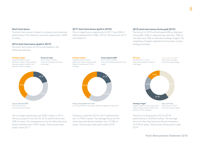The short-term bonus is linked to company and individual performance. The maximum incentive opportunity is 60% of salary.

#### **2016 short-term bonus (paid in 2017)**

The short-term bonus for 2016 was based on the following measures:

#### **Strategic targets**

Targets tailored to each executive's area of responsibility, typically projects linked to the delivery of Posti strategy.

**Group net sales** 2016 result: €1,606m Outcome: between threshold and target



**Group adjusted EBIT** 2016 result: €46m Outcome: above target

The on-target opportunity was 40% of salary in 2016. The bonus paid to the CEO for 2016 performance was 45% of salary. The average bonus for the other Executive Board members was 41% of salary. The bonuses were paid in April 2017.

#### **2017 short-term bonus (paid in 2018)**

The on-target bonus opportunity for 2017 was 30% of salary (reduced from 40% in 2016). The bonus for 2017 was based on:

> **Group adjusted EBIT** 2017 result: €1,658m

target

Outcome: between threshold and

#### **2018 short-term bonus (to be paid 2019)**

The bonus for 2018 will be based 40% on Adjusted Group EBIT, 30% on adjusted free cash flow, 15% on net sales and 15% on individual strategic targets. The weighting of targets aligned the bonus plan our key strategic priorities.

# **Strategic targets**

Targets tailored to each executive's area of responsibility, linked to the delivery of Posti strategy.



**Group comparable net sales** 2017 result: €42.4m Outcome: between target and maximum

The bonus paid the CEO for 2017 performance was 16.79% of salary. The average bonus for the other Executive Board members was 19.46% of salary. The bonuses were paid in April 2018.

#### **Net sales**

2018 result: € 1,610m Outcome: between threshold and target

#### **Group adjusted EBIT** 2018 result: €44.8m Outcome: above target



Targets tailored to each executive's area of responsibility, linked to the delivery of Posti strategy.

2018 result: € 37.5m Outcome: above target

The bonus to be paid the CEO for 2018 performance is 32.85% of salary. The average bonus for the other Executive Board members is 25.47% of salary. The bonuses will be paid in April 2019.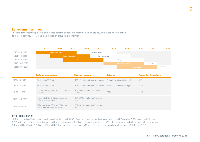# **Long-term Incentives**

The long-term incentive plan is a cash-based scheme designed to motivate and reward key employees who are critical to the company's success. The plan is based on group level performance.



|                 | <b>Performance measures</b>                                              | <b>Maximum opportunity</b>                  | Outcome                      | <b>Payment as % maximum</b> |
|-----------------|--------------------------------------------------------------------------|---------------------------------------------|------------------------------|-----------------------------|
| LTI7 2013-2015  | Profitability (ROIC %)                                                   | 40% of participant's one-year salary        | Below the minimum threshold  | 0%                          |
| T18 2014-2016   | Profitability (ROIC %)                                                   | 40% of participant's one-year salary        | Between threshold and target | 22%                         |
| TTI9 2015-2017  | 80% profitability (ROCE %) ja 20% growth<br>(net sales)                  | 40%-60% of participant's one-year<br>salary | At target                    | 47%                         |
| T110 2018-2020  | 70% profitability (EPS) and 30% growth<br>(eCommerce net sales)          | 20%-60% of participant's one-ear<br>salary  |                              |                             |
| LTI11 2019-2021 | 70% profitability (EPS) and 30% growth<br>(Parcel & eCommerce net sales) | 20%-60% of participant's one-year<br>salary |                              |                             |

### **LTI8 (2014–2016)**

LTI8 was based on Posti's average return on invested capital (ROIC) percentage over the three-year period to 31 December 2016. Average ROIC was 3.6% which was between the minimum and target performance thresholds. The award vested at 22% of the maximum and will be paid in three tranches (40% in 2017, 30% in 2018 and 30% in 2019). The first tranche was paid in March 2017 and remaining two will be paid in 2018 and 2019.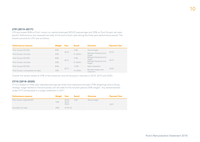# **LTI9 (2015–2017)**

LTI9 was based 80% on Posti 's return on capital employed (ROCE) percentage and 20% on Posti Group's net sales growth. Performance was assessed annually at the end of each year during the three-year performance period. The award outcome for LTI9 was as follows:

| <b>Performance measure</b>         | Weight Year |      | <b>Result</b> | Outcome                         | <b>Payment Year</b> |
|------------------------------------|-------------|------|---------------|---------------------------------|---------------------|
| Posti Group's ROCE%                | 80%         |      | 54%           | Above target                    |                     |
| Posti Group's net sales            | 20%         | 2015 | €1.626m       | Between threshold and<br>target | 2018                |
| Posti Group's ROCE%                | 80%         | 2016 | 5.6%          | Between threshold and<br>target | 2019                |
| Posti Group's net sales            | 20%         |      | €1,606m       | Between threshold and<br>target |                     |
| Posti Group's ROCE%                | 80%         |      | $-5.5%$       | Below threshold                 |                     |
| Posti Group's comparable net sales | 20%         | 2017 | €1,658m       | Between target and<br>maximum   | 2020                |

Overall, the award vested at 47% of the maximum and will be paid in tranches in 2018, 2019 and 2020.

# **LTI10 (2018–2020)**

LTI10 is based on three-year adjusted earnings per share and measured annually (70% weighting) and a Group strategic target related to Parcel business unit net sales for the full plan period (30% weight). Any reward earned under LTI10 will be paid in a single installment in 2021.

| Performance measure        |     | Weight Year Result   |      | Outcome      | <b>Payment Year</b> |
|----------------------------|-----|----------------------|------|--------------|---------------------|
| Posti Group's adjusted EPS | 70% | 2018<br>2019<br>2020 | 0.88 | Above target | 2021                |
| Parcel BU net sales        | 30% | $2018 - 20$          |      |              |                     |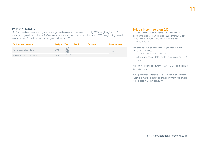11

# **LTI11 (2019–2021)**

LTI11 is based on three-year adjusted earnings per share set and measured annually (70% weighting) and a Group strategic target related to Parcel & eCommerce business unit net sales for full plan period (30% weight). Any reward earned under LTI11 will be paid in a single installment in 2022.

| <b>Performance measure</b>      |     | Weight Year Result   | Outcome | <b>Payment Year</b> |
|---------------------------------|-----|----------------------|---------|---------------------|
| Posti Group's adjusted EPS      | 70% | 2019<br>2020<br>2021 |         | 2022                |
| Parcel & eCommerce BU net sales | 30% | 2019-21              |         |                     |

# **Bridge incentive plan 2X**

2X is an incentive plan bridging the change in LTI payment periods. Earning period in 2X is from July 1st, 2018 until June 30th, 2019 with a possible payout in December 2019.

The plan has two performance targets measured in 2H2018 & 1H2019:

- Posti Group's adjusted EBIT (80% weight) and
- Posti Group's consolidated customer satisfaction (20% weight).

Maximum target opportunity is 12%–60% of participant's one- year salary.

If the performance targets set by the Board of Directors (BoD) are met and results approved by them, the reward will be paid in December 2019.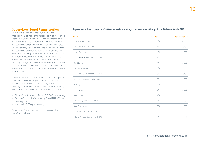# **Supervisory Board Remuneration**

Posti has a governance model, by which the management of Posti is the responsibility of the General Meeting of Shareholders, the Board of Directors and the President & CEO. In addition, the management of the company is supervised by the Supervisory Board. The Supervisory Board's key duties are overseeing that the company is managed according to law and the bye-laws, providing the Board with guidance on issues of broad implication, monitoring the functionality of postal services and providing the Annual General Meeting (AGM) with a statement regarding the financial statements and the auditor's report. The Supervisory Board does not participate in remuneration and reward related decisions.

The remuneration of the Supervisory Board is approved annually at the AGM. Supervisory Board members receive a fixed fee based on meeting attendance. Meeting compensation in euro payable to Supervisory Board members determined at the AGM in 2018 was:

- Chair of the Supervisory Board EUR 800 per meeting;
- Deputy Chair of the Supervisory Board EUR 600 per meeting; and
- Member EUR 500 per meeting

Supervisory Board members do not receive other benefits from Posti.

#### **Supervisory Board members' attendance in meetings and remuneration paid in 2018 (actual), EUR**

| <b>Member</b>                              | <b>Attendance</b> | Remuneration |
|--------------------------------------------|-------------------|--------------|
| Markku Rossi (Chair)                       | 5/5               | 4,000        |
| Jani Toivola (Deputy Chair)                | 4/5               | 2,400        |
| Maria Guzenina                             | 4/5               | 2,000        |
| Kari Kulmala (as from March 27, 2018)      | 3/4               | 1,500        |
| Rami Lehto                                 | 4/5               | 2,000        |
| Eeva-Maria Maijala                         | 5/5               | 2,500        |
| Silvia Modig (as from March 27, 2018)      | 3/4               | 1,500        |
| Sari Moisanen (until March 27, 2018)       | 1/1               | 500          |
| Mats Nylund                                | 5/5               | 2,500        |
| Juha Pylväs                                | 5/5               | 2,500        |
| Sari Raassina                              | 2/5               | 1,000        |
| Lulu Ranne (until March 27, 2018)          | 1/1               | 500          |
| Satu Taavitsainen                          | 5/5               | 2,500        |
| Kari Tolvanen (until March 27, 2018)       | 1/1               | 500          |
| Juhana Vartiainen (as from March 27, 2018) | 2/4               | 1,000        |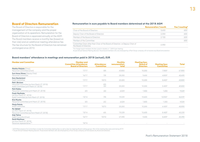# **Board of Directors Remuneration**

The Board of Directors is responsible for the management of the company and the proper organization of its operations. Remuneration for the Board of Directors is approved annually at the AGM. The Board members receive a monthly fee (based on their role) and an additional meeting attendance fee. The fee structure for the Board of Directors has remained unchanged since 2010.

#### **Remuneration in euro payable to Board members determined at the 2018 AGM**

|                                                                                                         | <b>Remuneration / month</b> | Fee / meeting* |
|---------------------------------------------------------------------------------------------------------|-----------------------------|----------------|
| Chair of the Board of Directors                                                                         | 3.650                       | 600.           |
| Deputy Chair of the Board of Directors                                                                  | 2.350                       | 600            |
| Member of the Board of Directors                                                                        | 2.100                       | 600            |
| Member of the Committee                                                                                 |                             | 600            |
| Committee Chair other than Chair of the Board of Directors or Deputy Chair of<br>the Board of Directors | 2.350                       |                |

\*For foreign board members the fee is paid in double i.e. 1,200 € per meeting.

As per Annual General Meeting decision, those board members who are employed by a Posti Group company will not receive any Board remuneration.

#### **Board members' attendance in meetings and remuneration paid in 2018 (actual), EUR**

| <b>Member and Committee</b>                                                                              | <b>Member and</b><br><b>Committee Attendance:</b><br><b>Board of Directors</b> | Attendance:<br><b>Committee</b> | <b>Monthly</b><br>remuneration,<br>total | <b>Meeting fees:</b><br><b>Board of</b><br><b>Directors</b> | <b>Meeting fees:</b><br><b>Committee</b> | Total  |
|----------------------------------------------------------------------------------------------------------|--------------------------------------------------------------------------------|---------------------------------|------------------------------------------|-------------------------------------------------------------|------------------------------------------|--------|
| Markku Pohjola (Chair)<br>Personnel Committee (Chair)                                                    | 17/17                                                                          | 8/8                             | 43,800                                   | 10,200                                                      | 7,800*                                   | 61,800 |
| <b>Suvi-Anne Siimes (Deputy Chair)</b><br>Personnel Committee                                            | 16/17                                                                          | 7/8                             | 28,200                                   | 9,600                                                       | $4,800*$                                 | 42,600 |
| Eero Hautaniemi<br><b>Audit Committee</b>                                                                | 17/17                                                                          | 10/10                           | 25,200                                   | 10.200                                                      | 8.400*                                   | 43,800 |
| Petri Järvinen<br>Personnel Committee (as from March 27, 2018)<br>Audit Committee (until March 27, 2018) | 17/17                                                                          | $6/6$<br>2/2                    | 25,200                                   | 10,200                                                      | 5 400*                                   | 40,800 |
| Petri Kokko<br>Personnel Committee (until March 27, 2018)                                                | 3/3                                                                            | 2/2                             | 6,029                                    | 1,800                                                       | 1,200                                    | 9,029  |
| <b>Frank Marthaler</b><br>(as from March 27, 2018)<br>Audit Committee (as from March 27, 2018)           | 13/14                                                                          | 7/8                             | 19,239                                   | 15,600                                                      | 12,000*                                  | 46,839 |
| <b>Kirsi Nuotto</b><br>Personnel Committee (until March 27, 2018)                                        | 3/3                                                                            | 2/2                             | 6,029                                    | 1,800                                                       | 1 200                                    | 9,029  |
| Marja Pokela<br><b>Audit Committee</b>                                                                   | 17/17                                                                          | 10/10                           | 25,200                                   | 10,200                                                      | 6 600*                                   | 42,000 |
| Per Sjödell<br>(as from March 27, 2018)<br>Personnel Committee (as from March 27, 2018)                  | 13/14                                                                          | 6/6                             | 19,239                                   | 15,600                                                      | 8 400*                                   | 43,239 |
| Arja Talma<br>Audit Committe (Chair)                                                                     | 16/17                                                                          | 10/10                           | 27.490                                   | 9.600                                                       | 8.400*                                   | 45,490 |
| <b>Pertti Miettinen</b><br>(as from March 27, 2018)<br>Personnel representative **                       | 14/14                                                                          |                                 |                                          |                                                             |                                          |        |

\* 2018 Remuneration for Committees include the Committee meeting fees as well as fees for meetings Board working groups. Part of the meeting fees were paid during 2019.

\*\* As per Annual General Meeting decision, those board members who are employed by a Posti Group company will not receive any Board remuneration.